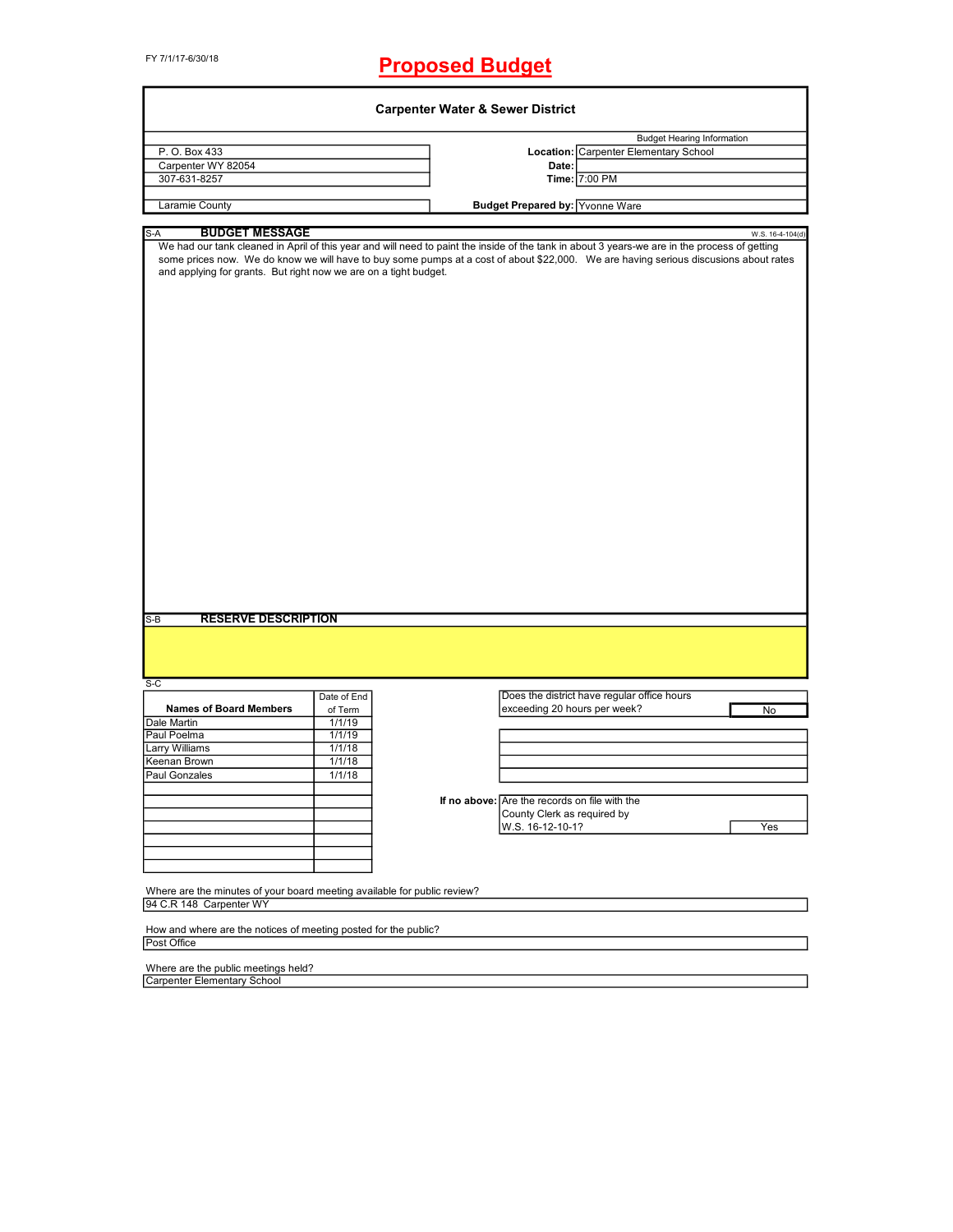FY 7/1/17-6/30/18

# **Proposed Budget**

|                                                                                                                                                                                                          |                  |                                                 | <b>Budget Hearing Information</b>            |                  |
|----------------------------------------------------------------------------------------------------------------------------------------------------------------------------------------------------------|------------------|-------------------------------------------------|----------------------------------------------|------------------|
| P. O. Box 433                                                                                                                                                                                            |                  |                                                 | <b>Location: Carpenter Elementary School</b> |                  |
| Carpenter WY 82054                                                                                                                                                                                       |                  | Date:                                           |                                              |                  |
| 307-631-8257                                                                                                                                                                                             |                  |                                                 | Time: 7:00 PM                                |                  |
| Laramie County                                                                                                                                                                                           |                  | <b>Budget Prepared by: Yvonne Ware</b>          |                                              |                  |
|                                                                                                                                                                                                          |                  |                                                 |                                              |                  |
| <b>BUDGET MESSAGE</b><br>S-A<br>We had our tank cleaned in April of this year and will need to paint the inside of the tank in about 3 years-we are in the process of getting                            |                  |                                                 |                                              | W.S. 16-4-104(d) |
| some prices now. We do know we will have to buy some pumps at a cost of about \$22,000. We are having serious discusions about rates<br>and applying for grants. But right now we are on a tight budget. |                  |                                                 |                                              |                  |
|                                                                                                                                                                                                          |                  |                                                 |                                              |                  |
|                                                                                                                                                                                                          |                  |                                                 |                                              |                  |
|                                                                                                                                                                                                          |                  |                                                 |                                              |                  |
|                                                                                                                                                                                                          |                  |                                                 |                                              |                  |
|                                                                                                                                                                                                          |                  |                                                 |                                              |                  |
|                                                                                                                                                                                                          |                  |                                                 |                                              |                  |
|                                                                                                                                                                                                          |                  |                                                 |                                              |                  |
|                                                                                                                                                                                                          |                  |                                                 |                                              |                  |
|                                                                                                                                                                                                          |                  |                                                 |                                              |                  |
|                                                                                                                                                                                                          |                  |                                                 |                                              |                  |
|                                                                                                                                                                                                          |                  |                                                 |                                              |                  |
|                                                                                                                                                                                                          |                  |                                                 |                                              |                  |
|                                                                                                                                                                                                          |                  |                                                 |                                              |                  |
|                                                                                                                                                                                                          |                  |                                                 |                                              |                  |
|                                                                                                                                                                                                          |                  |                                                 |                                              |                  |
|                                                                                                                                                                                                          |                  |                                                 |                                              |                  |
|                                                                                                                                                                                                          |                  |                                                 |                                              |                  |
|                                                                                                                                                                                                          |                  |                                                 |                                              |                  |
|                                                                                                                                                                                                          |                  |                                                 |                                              |                  |
|                                                                                                                                                                                                          |                  |                                                 |                                              |                  |
| <b>RESERVE DESCRIPTION</b>                                                                                                                                                                               |                  |                                                 |                                              |                  |
|                                                                                                                                                                                                          |                  |                                                 |                                              |                  |
|                                                                                                                                                                                                          |                  |                                                 |                                              |                  |
|                                                                                                                                                                                                          |                  |                                                 |                                              |                  |
|                                                                                                                                                                                                          |                  |                                                 |                                              |                  |
|                                                                                                                                                                                                          | Date of End      |                                                 | Does the district have regular office hours  |                  |
| <b>Names of Board Members</b>                                                                                                                                                                            | of Term          | exceeding 20 hours per week?                    |                                              | No               |
|                                                                                                                                                                                                          | 1/1/19<br>1/1/19 |                                                 |                                              |                  |
|                                                                                                                                                                                                          | 1/1/18           |                                                 |                                              |                  |
|                                                                                                                                                                                                          | 1/1/18           |                                                 |                                              |                  |
|                                                                                                                                                                                                          | 1/1/18           |                                                 |                                              |                  |
|                                                                                                                                                                                                          |                  |                                                 |                                              |                  |
|                                                                                                                                                                                                          |                  | If no above: Are the records on file with the   |                                              |                  |
|                                                                                                                                                                                                          |                  | County Clerk as required by<br>W.S. 16-12-10-1? |                                              | Yes              |
|                                                                                                                                                                                                          |                  |                                                 |                                              |                  |
| $S-B$<br>$S-C$<br>Dale Martin<br>Paul Poelma<br><b>Larry Williams</b><br>Keenan Brown<br>Paul Gonzales                                                                                                   |                  |                                                 |                                              |                  |
|                                                                                                                                                                                                          |                  |                                                 |                                              |                  |
|                                                                                                                                                                                                          |                  |                                                 |                                              |                  |
| Where are the minutes of your board meeting available for public review?<br>94 C.R 148 Carpenter WY                                                                                                      |                  |                                                 |                                              |                  |
| How and where are the notices of meeting posted for the public?                                                                                                                                          |                  |                                                 |                                              |                  |

Where are the public meetings held? Carpenter Elementary School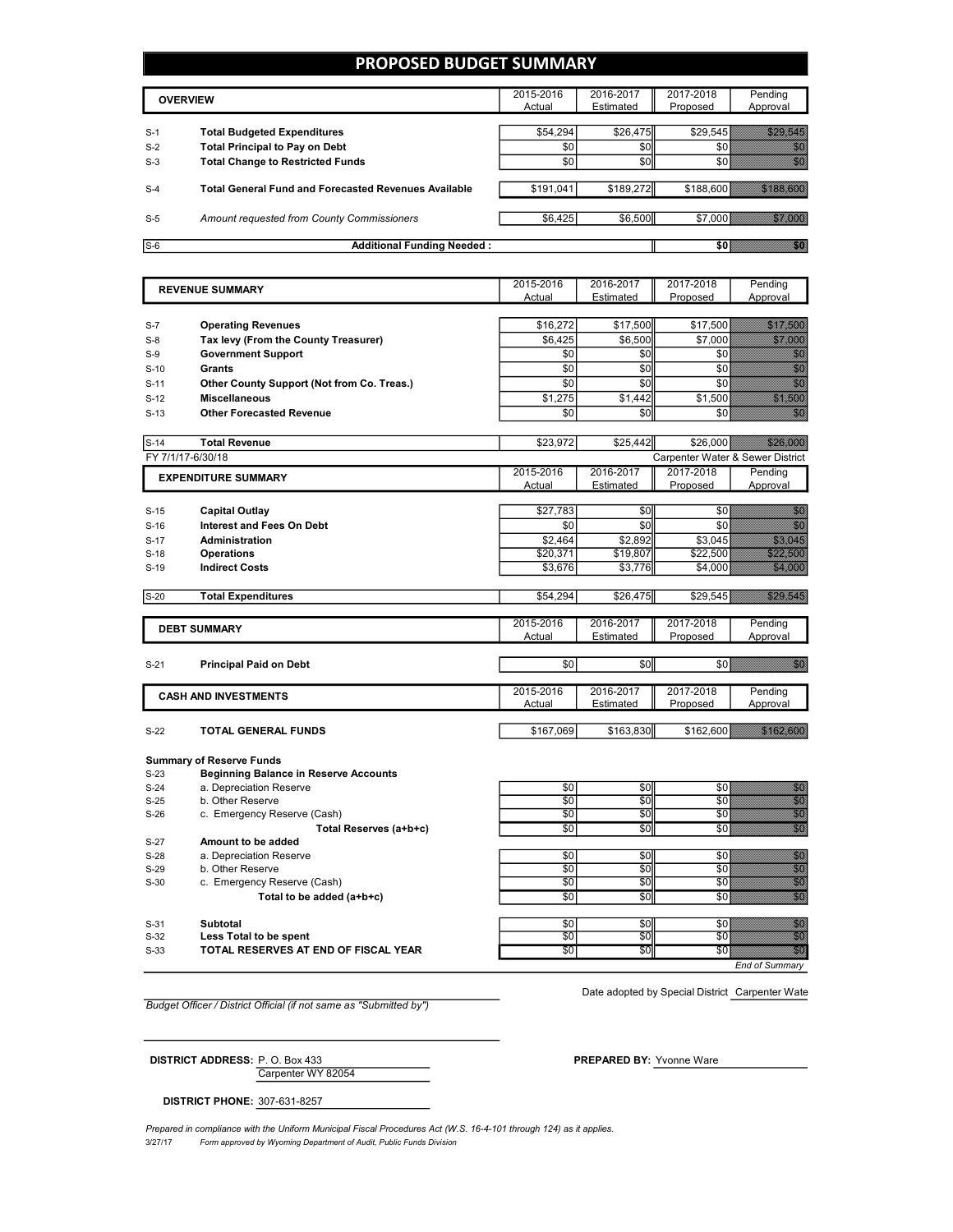## **PROPOSED BUDGET SUMMARY**

| <b>OVERVIEW</b> |                                                             | 2015-2016<br>Actual | 2016-2017<br>Estimated | 2017-2018<br>Proposed | Pending<br>Approval                                                                                            |
|-----------------|-------------------------------------------------------------|---------------------|------------------------|-----------------------|----------------------------------------------------------------------------------------------------------------|
| $S-1$           | <b>Total Budgeted Expenditures</b>                          | \$54.294            | \$26,475               | \$29.545              | 979 - 979 - 979 - 979 - 979 - 979 - 979 - 979 - 979 - 979 - 979 - 979 - 979 - 979 - 979 - 979 - 979 - 979 - 97 |
| $S-2$           | <b>Total Principal to Pay on Debt</b>                       | \$0                 | \$0                    |                       |                                                                                                                |
| $S-3$           | <b>Total Change to Restricted Funds</b>                     | \$0                 | \$0                    |                       |                                                                                                                |
| $S-4$           | <b>Total General Fund and Forecasted Revenues Available</b> | \$191,041           | \$189,272              | \$188,600             |                                                                                                                |
| $S-5$           | Amount requested from County Commissioners                  | \$6,425             | \$6,500                | \$7,000               |                                                                                                                |
| $S-6$           | <b>Additional Funding Needed:</b>                           |                     |                        |                       |                                                                                                                |

|                  | <b>REVENUE SUMMARY</b>                                    | 2015-2016       | 2016-2017  | 2017-2018                        | Pending                                                                                                                                                                                                                          |
|------------------|-----------------------------------------------------------|-----------------|------------|----------------------------------|----------------------------------------------------------------------------------------------------------------------------------------------------------------------------------------------------------------------------------|
|                  |                                                           | Actual          | Estimated  | Proposed                         | Approval                                                                                                                                                                                                                         |
|                  |                                                           |                 |            |                                  |                                                                                                                                                                                                                                  |
| $S-7$            | <b>Operating Revenues</b>                                 | \$16,272        | \$17,500   | \$17,500                         |                                                                                                                                                                                                                                  |
| $S-8$            | Tax levy (From the County Treasurer)                      | \$6.425         | \$6,500    | \$7,000                          |                                                                                                                                                                                                                                  |
| $S-9$            | <b>Government Support</b>                                 | \$0             | \$0        | \$0                              | en de la f                                                                                                                                                                                                                       |
| $S-10$           | Grants                                                    | \$0             | \$0        | \$0                              | enne<br>Mari                                                                                                                                                                                                                     |
| $S-11$           | Other County Support (Not from Co. Treas.)                | \$0             | \$0        | \$0                              | en de la filosofia<br>Album de la filosofia                                                                                                                                                                                      |
| $S-12$           | <b>Miscellaneous</b>                                      | \$1,275         | \$1,442    | \$1,500                          | <u>ti all'in controlle</u>                                                                                                                                                                                                       |
| $S-13$           | <b>Other Forecasted Revenue</b>                           | \$0             | \$0        | \$0                              | en eller<br>Berger                                                                                                                                                                                                               |
|                  |                                                           |                 |            |                                  |                                                                                                                                                                                                                                  |
| $S-14$           | <b>Total Revenue</b>                                      | \$23,972        | \$25,442   | \$26,000                         |                                                                                                                                                                                                                                  |
|                  | FY 7/1/17-6/30/18                                         |                 |            | Carpenter Water & Sewer District |                                                                                                                                                                                                                                  |
|                  | <b>EXPENDITURE SUMMARY</b>                                | 2015-2016       | 2016-2017  | 2017-2018                        | Pendina                                                                                                                                                                                                                          |
|                  |                                                           | Actual          | Estimated  | Proposed                         | Approval                                                                                                                                                                                                                         |
|                  |                                                           |                 |            | \$0                              |                                                                                                                                                                                                                                  |
| $S-15$           | <b>Capital Outlay</b><br><b>Interest and Fees On Debt</b> | \$27,783<br>\$0 | \$0<br>\$0 | \$0                              | en de la filosofia<br>Altre de la filosofia<br>,,,,,,                                                                                                                                                                            |
| $S-16$           |                                                           |                 |            |                                  |                                                                                                                                                                                                                                  |
| $S-17$           | <b>Administration</b>                                     | \$2.464         | \$2.892    | \$3.045                          | <u>saanaa k</u>                                                                                                                                                                                                                  |
| $S-18$<br>$S-19$ | <b>Operations</b><br><b>Indirect Costs</b>                | \$20,371        | \$19,807   | \$22,500                         | <u>SZZZ BOSOS</u>                                                                                                                                                                                                                |
|                  |                                                           | \$3,676         | \$3,776    | \$4,000                          |                                                                                                                                                                                                                                  |
| $S-20$           | <b>Total Expenditures</b>                                 | \$54,294        | \$26,475   | \$29,545                         | <u> SZMANAS</u>                                                                                                                                                                                                                  |
|                  |                                                           |                 |            |                                  |                                                                                                                                                                                                                                  |
|                  |                                                           | 2015-2016       | 2016-2017  | 2017-2018                        | Pending                                                                                                                                                                                                                          |
|                  | <b>DEBT SUMMARY</b>                                       | Actual          | Estimated  | Proposed                         | Approval                                                                                                                                                                                                                         |
|                  |                                                           |                 |            |                                  |                                                                                                                                                                                                                                  |
| $S-21$           | <b>Principal Paid on Debt</b>                             | \$0             | \$0        | \$0                              | en en de la familie de la familie de la familie de la familie de la familie de la familie de la familie de la<br>Constitution de la familie de la familie de la familie de la familie de la familie de la familie de la familie  |
|                  |                                                           |                 |            |                                  |                                                                                                                                                                                                                                  |
|                  | <b>CASH AND INVESTMENTS</b>                               | 2015-2016       | 2016-2017  | 2017-2018                        | Pending                                                                                                                                                                                                                          |
|                  |                                                           | Actual          | Estimated  | Proposed                         | Approval                                                                                                                                                                                                                         |
| $S-22$           | <b>TOTAL GENERAL FUNDS</b>                                | \$167,069       | \$163,830  | \$162,600                        | <b>SASTILISTOR</b>                                                                                                                                                                                                               |
|                  |                                                           |                 |            |                                  |                                                                                                                                                                                                                                  |
|                  | <b>Summary of Reserve Funds</b>                           |                 |            |                                  |                                                                                                                                                                                                                                  |
| $S-23$           | <b>Beginning Balance in Reserve Accounts</b>              |                 |            |                                  |                                                                                                                                                                                                                                  |
| $S-24$           | a. Depreciation Reserve                                   | \$0             | \$0        | \$0                              | en en de la familie de la familie de la familie de la familie de la familie de la familie de la familie de la<br>Constitution de la familie de la familie de la familie de la familie de la familie de la familie de la familie  |
| $S-25$           | b. Other Reserve                                          | \$0             | \$0        | \$0                              |                                                                                                                                                                                                                                  |
| $S-26$           | c. Emergency Reserve (Cash)                               | \$0             | \$0        | \$0                              | en de la familie de la familie de la familie de la familie de la familie de la familie de la familie de la fam<br>Altre de la familie de la familie de la familie de la familie de la familie de la familie de la familie de la  |
|                  | Total Reserves (a+b+c)                                    | \$0             | \$0        | \$0                              | en de la filo<br>Mariti                                                                                                                                                                                                          |
| $S-27$           | Amount to be added                                        |                 |            |                                  |                                                                                                                                                                                                                                  |
| $S-28$           | a. Depreciation Reserve                                   | \$0             | \$0        | \$0                              | en<br>Maria                                                                                                                                                                                                                      |
| $S-29$           | b. Other Reserve                                          | \$0             | \$0        | \$0                              |                                                                                                                                                                                                                                  |
| $S-30$           | c. Emergency Reserve (Cash)                               | \$0             | \$0        | \$0                              | en de la provincia de la provincia de la provincia de la provincia de la provincia de la provincia de la provi<br>En la provincia de la provincia de la provincia de la provincia de la provincia de la provincia de la provinci |
|                  | Total to be added (a+b+c)                                 | \$0             | \$0        | \$0                              | 86                                                                                                                                                                                                                               |
|                  |                                                           |                 |            |                                  |                                                                                                                                                                                                                                  |
|                  |                                                           |                 |            |                                  |                                                                                                                                                                                                                                  |

S-31 Subtotal \$0 \$0 \$0 \$0 \$0 \$0 \$0 \$0 \$0 \$0 \$0 \$1 \$1 \$1 \$1 \$1 \$1 \$1 \$1 \$1 \$1 \$1 \$

**DISTRICT PHONE:** 307-631-8257

S-32 **Less Total to be spent** \$0 \$0 \$0 \$0 S-33 **TOTAL RESERVES AT END OF FISCAL YEAR** \$0 \$0 \$0 \$0

*End of Summary*

*Budget Officer / District Official (if not same as "Submitted by")*

Date adopted by Special District Carpenter Wate

Carpenter WY 82054 **DISTRICT ADDRESS:** P. O. Box 433 **PREPARED** BY: Yvonne Ware

3/27/17 *Form approved by Wyoming Department of Audit, Public Funds Division* Prepared in compliance with the Uniform Municipal Fiscal Procedures Act (W.S. 16-4-101 through 124) as it applies.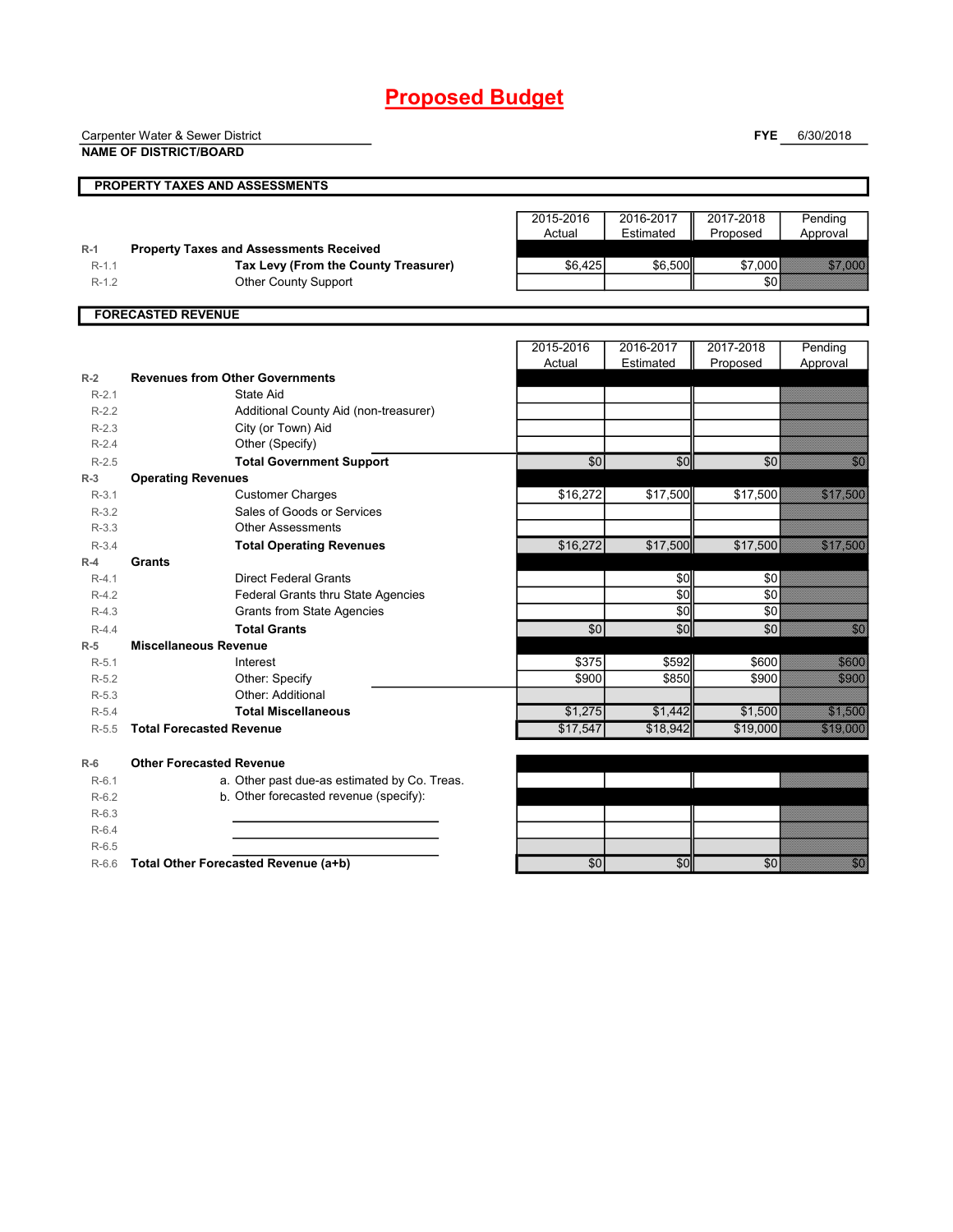# **Proposed Budget**

|           | Carpenter Water & Sewer District               |           |            | <b>FYE</b> | 6/30/2018                                                                                                                                                                                                                       |
|-----------|------------------------------------------------|-----------|------------|------------|---------------------------------------------------------------------------------------------------------------------------------------------------------------------------------------------------------------------------------|
|           | <b>NAME OF DISTRICT/BOARD</b>                  |           |            |            |                                                                                                                                                                                                                                 |
|           |                                                |           |            |            |                                                                                                                                                                                                                                 |
|           | PROPERTY TAXES AND ASSESSMENTS                 |           |            |            |                                                                                                                                                                                                                                 |
|           |                                                | 2015-2016 | 2016-2017  | 2017-2018  |                                                                                                                                                                                                                                 |
|           |                                                | Actual    | Estimated  | Proposed   | Pending<br>Approval                                                                                                                                                                                                             |
| $R-1$     | <b>Property Taxes and Assessments Received</b> |           |            |            |                                                                                                                                                                                                                                 |
| $R - 1.1$ | Tax Levy (From the County Treasurer)           | \$6.425   | \$6.500    | \$7,000    | <b>STANDARD</b>                                                                                                                                                                                                                 |
| $R-1.2$   | Other County Support                           |           |            | \$0        |                                                                                                                                                                                                                                 |
|           |                                                |           |            |            |                                                                                                                                                                                                                                 |
|           | <b>FORECASTED REVENUE</b>                      |           |            |            |                                                                                                                                                                                                                                 |
|           |                                                |           |            |            |                                                                                                                                                                                                                                 |
|           |                                                | 2015-2016 | 2016-2017  | 2017-2018  | Pending                                                                                                                                                                                                                         |
|           |                                                | Actual    | Estimated  | Proposed   | Approval                                                                                                                                                                                                                        |
| $R-2$     | <b>Revenues from Other Governments</b>         |           |            |            |                                                                                                                                                                                                                                 |
| $R-2.1$   | State Aid                                      |           |            |            |                                                                                                                                                                                                                                 |
| $R-2.2$   | Additional County Aid (non-treasurer)          |           |            |            |                                                                                                                                                                                                                                 |
| $R-2.3$   | City (or Town) Aid                             |           |            |            |                                                                                                                                                                                                                                 |
| $R-2.4$   | Other (Specify)                                |           |            |            |                                                                                                                                                                                                                                 |
| $R-2.5$   | <b>Total Government Support</b>                | \$0       | \$0        | \$0        | eneng<br>Bandal                                                                                                                                                                                                                 |
| $R-3$     | <b>Operating Revenues</b>                      |           |            |            |                                                                                                                                                                                                                                 |
| $R-3.1$   | <b>Customer Charges</b>                        | \$16,272  | \$17,500   | \$17,500   | <u> Sekililin Seki</u>                                                                                                                                                                                                          |
| $R-3.2$   | Sales of Goods or Services                     |           |            |            |                                                                                                                                                                                                                                 |
| $R-3.3$   | <b>Other Assessments</b>                       |           |            |            |                                                                                                                                                                                                                                 |
| $R - 3.4$ | <b>Total Operating Revenues</b>                | \$16,272  | \$17,500   | \$17,500   | <b>RANGE STATE</b>                                                                                                                                                                                                              |
| $R-4$     | <b>Grants</b>                                  |           |            |            |                                                                                                                                                                                                                                 |
| $R-4.1$   | <b>Direct Federal Grants</b>                   |           | \$0        | \$0        |                                                                                                                                                                                                                                 |
| $R-4.2$   | <b>Federal Grants thru State Agencies</b>      |           | \$0        | \$0        |                                                                                                                                                                                                                                 |
| $R-4.3$   | <b>Grants from State Agencies</b>              |           | $\sqrt{6}$ | \$0        |                                                                                                                                                                                                                                 |
| $R-4.4$   | <b>Total Grants</b>                            | \$0       | \$0        | \$0        | en de la familie de la familie de la familie de la familie de la familie de la familie de la familie de la fa<br>Constituit de la familie de la familie de la familie de la familie de la familie de la familie de la familie d |
| $R-5$     | <b>Miscellaneous Revenue</b>                   |           |            |            |                                                                                                                                                                                                                                 |
| $R-5.1$   | Interest                                       | \$375     | \$592      | \$600      | 36.                                                                                                                                                                                                                             |
| $R-5.2$   | Other: Specify                                 | \$900     | \$850      | \$900      | <b>SAN</b>                                                                                                                                                                                                                      |
| $R-5.3$   | Other: Additional                              |           |            |            |                                                                                                                                                                                                                                 |
| $R-5.4$   | <b>Total Miscellaneous</b>                     | \$1,275   | \$1,442    | \$1,500    | <b>Romando</b>                                                                                                                                                                                                                  |
| $R-5.5$   | <b>Total Forecasted Revenue</b>                | \$17,547  | \$18,942   | \$19,000   | 32 BAD                                                                                                                                                                                                                          |
| $R-6$     | <b>Other Forecasted Revenue</b>                |           |            |            |                                                                                                                                                                                                                                 |
| $R-6.1$   | a. Other past due-as estimated by Co. Treas.   |           |            |            |                                                                                                                                                                                                                                 |
| $R-6.2$   | b. Other forecasted revenue (specify):         |           |            |            |                                                                                                                                                                                                                                 |
| $R-6.3$   |                                                |           |            |            |                                                                                                                                                                                                                                 |
| $R-6.4$   |                                                |           |            |            |                                                                                                                                                                                                                                 |
| $R-6.5$   |                                                |           |            |            |                                                                                                                                                                                                                                 |
|           | R-6.6 Total Other Forecasted Revenue (a+b)     | \$0       | \$0        | \$0        |                                                                                                                                                                                                                                 |
|           |                                                |           |            |            |                                                                                                                                                                                                                                 |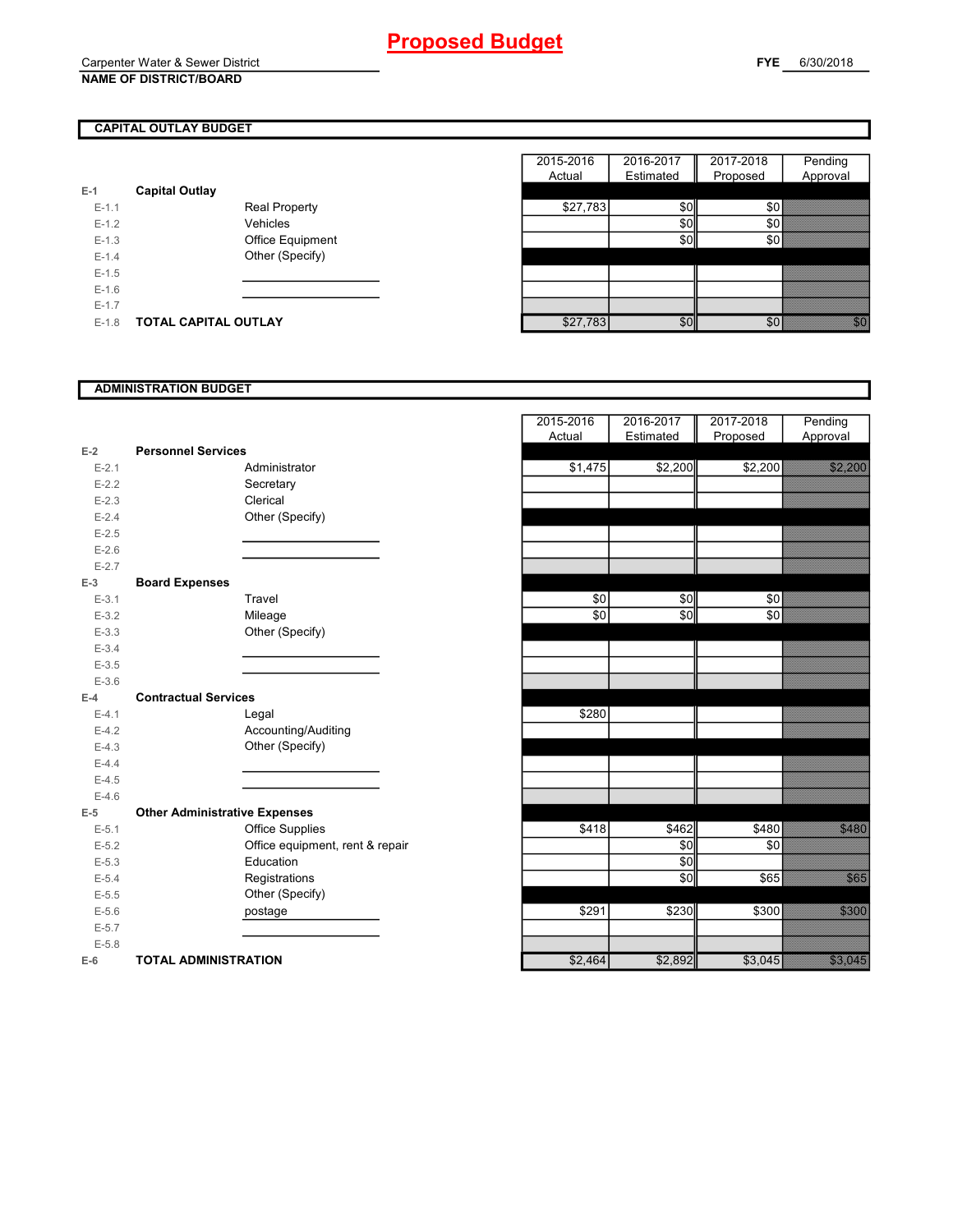### Carpenter Water & Sewer District **NAME OF DISTRICT/BOARD**

### **CAPITAL OUTLAY BUDGET**

| E-1       | <b>Capital Outlay</b>       |                         |
|-----------|-----------------------------|-------------------------|
| $E - 1.1$ |                             | <b>Real Property</b>    |
| $E-1.2$   |                             | Vehicles                |
| $F-1.3$   |                             | <b>Office Equipment</b> |
| $F-14$    |                             | Other (Specify)         |
| $F-1.5$   |                             |                         |
| $F-16$    |                             |                         |
| $F-17$    |                             |                         |
| $F-1.8$   | <b>TOTAL CAPITAL OUTLAY</b> |                         |

|         |                             |                      | 2015-2016 | 2016-2017 | 2017-2018 | Pending                                    |
|---------|-----------------------------|----------------------|-----------|-----------|-----------|--------------------------------------------|
|         |                             |                      | Actual    | Estimated | Proposed  | Approval                                   |
|         | <b>Capital Outlay</b>       |                      |           |           |           |                                            |
| $E-1.1$ |                             | <b>Real Property</b> | \$27,783  | \$0       | \$0       |                                            |
| $E-1.2$ |                             | Vehicles             |           | \$0       | \$0       |                                            |
| $E-1.3$ |                             | Office Equipment     |           | \$0       | \$0       |                                            |
| $E-1.4$ |                             | Other (Specify)      |           |           |           |                                            |
| $E-1.5$ |                             |                      |           |           |           |                                            |
| $E-1.6$ |                             |                      |           |           |           |                                            |
| $E-1.7$ |                             |                      |           |           |           |                                            |
| $E-1.8$ | <b>TOTAL CAPITAL OUTLAY</b> |                      | \$27,783  | \$0       | \$0       | en de la filosofia<br>Alta de la filosofia |

### **ADMINISTRATION BUDGET**

|           |                                      |                                 | Actual  | Estimated | Proposed |
|-----------|--------------------------------------|---------------------------------|---------|-----------|----------|
| $E-2$     | <b>Personnel Services</b>            |                                 |         |           |          |
| $E - 2.1$ |                                      | Administrator                   | \$1,475 | \$2,200   | \$2,200  |
| $E-2.2$   |                                      | Secretary                       |         |           |          |
| $E-2.3$   |                                      | Clerical                        |         |           |          |
| $E-2.4$   |                                      | Other (Specify)                 |         |           |          |
| $E-2.5$   |                                      |                                 |         |           |          |
| $E-2.6$   |                                      |                                 |         |           |          |
| $E - 2.7$ |                                      |                                 |         |           |          |
| $E-3$     | <b>Board Expenses</b>                |                                 |         |           |          |
| $E-3.1$   |                                      | Travel                          | \$0     | \$0       | \$0      |
| $E - 3.2$ |                                      | Mileage                         | \$0     | \$0       | \$0      |
| $E - 3.3$ |                                      | Other (Specify)                 |         |           |          |
| $E - 3.4$ |                                      |                                 |         |           |          |
| $E-3.5$   |                                      |                                 |         |           |          |
| $E - 3.6$ |                                      |                                 |         |           |          |
| $E-4$     | <b>Contractual Services</b>          |                                 |         |           |          |
| $E - 4.1$ |                                      | Legal                           | \$280   |           |          |
| $E-4.2$   |                                      | Accounting/Auditing             |         |           |          |
| $E - 4.3$ |                                      | Other (Specify)                 |         |           |          |
| $E-4.4$   |                                      |                                 |         |           |          |
| $E - 4.5$ |                                      |                                 |         |           |          |
| $E-4.6$   |                                      |                                 |         |           |          |
| $E-5$     | <b>Other Administrative Expenses</b> |                                 |         |           |          |
| $E - 5.1$ |                                      | <b>Office Supplies</b>          | \$418   | \$462     | \$480    |
| $E-5.2$   |                                      | Office equipment, rent & repair |         | \$0       | \$0      |
| $E-5.3$   |                                      | Education                       |         | \$0       |          |
| $E-5.4$   |                                      | Registrations                   |         | \$0       | \$65     |
| $E-5.5$   |                                      | Other (Specify)                 |         |           |          |
| $E-5.6$   |                                      | postage                         | \$291   | \$230     | \$300    |
| $E - 5.7$ |                                      |                                 |         |           |          |
| $E - 5.8$ |                                      |                                 |         |           |          |
| $E-6$     | <b>TOTAL ADMINISTRATION</b>          |                                 | \$2.464 | \$2.892   | \$3.045  |

| $E-2$                  | <b>Personnel Services</b>            | 2015-2016<br>Actual | 2016-2017<br>Estimated | 2017-2018<br>Proposed | Pending<br>Approval                                                                                                                                                                                                             |
|------------------------|--------------------------------------|---------------------|------------------------|-----------------------|---------------------------------------------------------------------------------------------------------------------------------------------------------------------------------------------------------------------------------|
|                        | Administrator                        |                     |                        |                       | a a a an an t-ainm                                                                                                                                                                                                              |
| $E - 2.1$<br>$E - 2.2$ |                                      | \$1,475             | \$2,200                | \$2,200               |                                                                                                                                                                                                                                 |
| $E-2.3$                | Secretary<br>Clerical                |                     |                        |                       |                                                                                                                                                                                                                                 |
|                        |                                      |                     |                        |                       |                                                                                                                                                                                                                                 |
| $E-2.4$                | Other (Specify)                      |                     |                        |                       |                                                                                                                                                                                                                                 |
| $E - 2.5$<br>$E-2.6$   |                                      |                     |                        |                       |                                                                                                                                                                                                                                 |
| $E - 2.7$              |                                      |                     |                        |                       |                                                                                                                                                                                                                                 |
| $E-3$                  | <b>Board Expenses</b>                |                     |                        |                       |                                                                                                                                                                                                                                 |
| $E - 3.1$              | Travel                               | $\sqrt{6}$          | \$0                    | \$0                   |                                                                                                                                                                                                                                 |
| $E - 3.2$              | Mileage                              | \$0                 | \$0                    | \$0                   |                                                                                                                                                                                                                                 |
| $E - 3.3$              | Other (Specify)                      |                     |                        |                       |                                                                                                                                                                                                                                 |
| $E - 3.4$              |                                      |                     |                        |                       |                                                                                                                                                                                                                                 |
| $E - 3.5$              |                                      |                     |                        |                       |                                                                                                                                                                                                                                 |
| $E - 3.6$              |                                      |                     |                        |                       |                                                                                                                                                                                                                                 |
| $E-4$                  | <b>Contractual Services</b>          |                     |                        |                       |                                                                                                                                                                                                                                 |
| $E - 4.1$              | Legal                                | \$280               |                        |                       |                                                                                                                                                                                                                                 |
| $E-4.2$                | Accounting/Auditing                  |                     |                        |                       |                                                                                                                                                                                                                                 |
| $E-4.3$                | Other (Specify)                      |                     |                        |                       |                                                                                                                                                                                                                                 |
| $E-4.4$                |                                      |                     |                        |                       |                                                                                                                                                                                                                                 |
| $E-4.5$                |                                      |                     |                        |                       |                                                                                                                                                                                                                                 |
| $E-4.6$                |                                      |                     |                        |                       |                                                                                                                                                                                                                                 |
| $E-5$                  | <b>Other Administrative Expenses</b> |                     |                        |                       |                                                                                                                                                                                                                                 |
| $E - 5.1$              | <b>Office Supplies</b>               | \$418               | \$462                  | \$480                 | <b>Santa Cardinal</b>                                                                                                                                                                                                           |
| $E - 5.2$              | Office equipment, rent & repair      |                     | \$0                    | \$0                   |                                                                                                                                                                                                                                 |
| $E - 5.3$              | Education                            |                     | \$0                    |                       |                                                                                                                                                                                                                                 |
| $E - 5.4$              | Registrations                        |                     | \$0                    | \$65                  | <b>Sidoo</b>                                                                                                                                                                                                                    |
| $E - 5.5$              | Other (Specify)                      |                     |                        |                       |                                                                                                                                                                                                                                 |
| $E-5.6$                | postage                              | \$291               | \$230                  | \$300                 | <b>Sidoonia</b>                                                                                                                                                                                                                 |
| $E - 5.7$              |                                      |                     |                        |                       |                                                                                                                                                                                                                                 |
| $E - 5.8$              |                                      |                     |                        |                       |                                                                                                                                                                                                                                 |
| $E-6$                  | <b>TOTAL ADMINISTRATION</b>          | \$2,464             | \$2,892                | \$3,045               | e alla servizione della conservazione della conservazione della conservazione della conservazione della conser<br>Esperanto-conservazione della conservazione della conservazione della conservazione della conservazione della |
|                        |                                      |                     |                        |                       |                                                                                                                                                                                                                                 |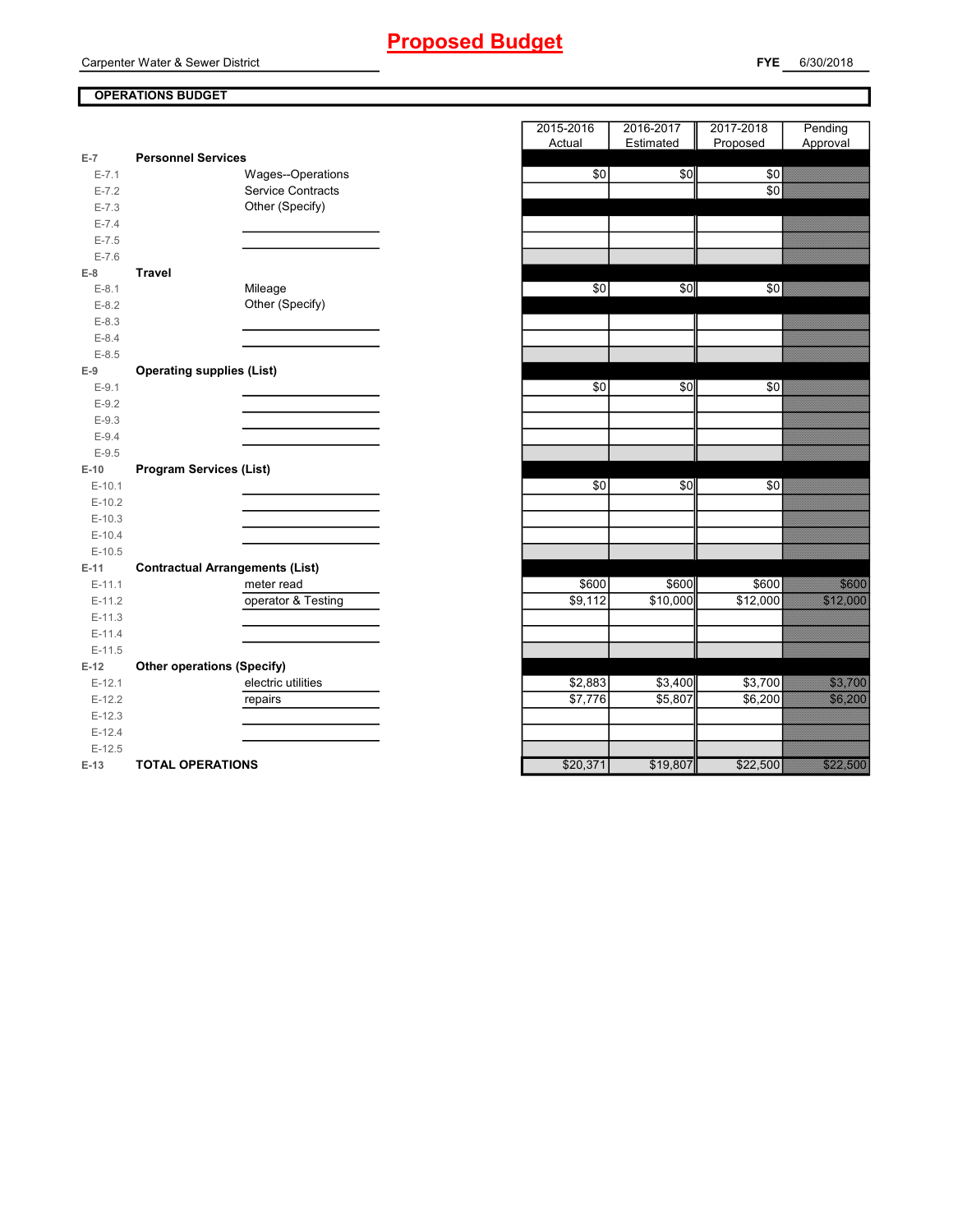## **Proposed Budget**

Carpenter Water & Sewer District

**FYE** 6/30/2018

### **OPERATIONS BUDGET**

|           |                                        | <b>Actual</b> | <b>Estimated</b> | Proposed |
|-----------|----------------------------------------|---------------|------------------|----------|
| $E-7$     | <b>Personnel Services</b>              |               |                  |          |
| $E - 7.1$ | Wages--Operations                      | \$0           | \$0              | \$0      |
| $E - 7.2$ | <b>Service Contracts</b>               |               |                  | \$0      |
| $E - 7.3$ | Other (Specify)                        |               |                  |          |
| $E - 7.4$ |                                        |               |                  |          |
| $E - 7.5$ |                                        |               |                  |          |
| $E - 7.6$ |                                        |               |                  |          |
| $E-8$     | <b>Travel</b>                          |               |                  |          |
| $E-8.1$   | Mileage                                | \$0           | \$0              | \$0      |
| $E - 8.2$ | Other (Specify)                        |               |                  |          |
| $E-8.3$   |                                        |               |                  |          |
| $E - 8.4$ |                                        |               |                  |          |
| $E - 8.5$ |                                        |               |                  |          |
| $E-9$     | <b>Operating supplies (List)</b>       |               |                  |          |
| $E-9.1$   |                                        | \$0           | \$0              | \$0      |
| $E-9.2$   |                                        |               |                  |          |
| $E-9.3$   |                                        |               |                  |          |
| $E-9.4$   |                                        |               |                  |          |
| $E-9.5$   |                                        |               |                  |          |
| $E-10$    | <b>Program Services (List)</b>         |               |                  |          |
| $E-10.1$  |                                        | \$0           | \$0              | \$0      |
| $E-10.2$  |                                        |               |                  |          |
| $E-10.3$  |                                        |               |                  |          |
| $E-10.4$  |                                        |               |                  |          |
| $E-10.5$  |                                        |               |                  |          |
| $E-11$    | <b>Contractual Arrangements (List)</b> |               |                  |          |
| $E-11.1$  | meter read                             | \$600         | \$600            | \$600    |
| $E-11.2$  | operator & Testing                     | \$9,112       | \$10,000         | \$12,000 |
| $E-11.3$  |                                        |               |                  |          |
| $E-11.4$  |                                        |               |                  |          |
| $E-11.5$  |                                        |               |                  |          |
| $E-12$    | <b>Other operations (Specify)</b>      |               |                  |          |
| $E-12.1$  | electric utilities                     | \$2,883       | \$3,400          | \$3,700  |
| $E-12.2$  | repairs                                | \$7,776       | \$5,807          | \$6,200  |
| $E-12.3$  |                                        |               |                  |          |
| $E-12.4$  |                                        |               |                  |          |
| $E-12.5$  |                                        |               |                  |          |
| $E-13$    | <b>TOTAL OPERATIONS</b>                | \$20,371      | \$19,807         | \$22,500 |

|           |                                        | 2015-2016  | 2016-2017<br>Estimated | 2017-2018     | Pending<br>Approval      |
|-----------|----------------------------------------|------------|------------------------|---------------|--------------------------|
| $E-7$     | <b>Personnel Services</b>              | Actual     |                        | Proposed      |                          |
| $E - 7.1$ | Wages--Operations                      | \$0        | \$0                    | \$0           |                          |
| $E - 7.2$ | <b>Service Contracts</b>               |            |                        | $\frac{6}{5}$ |                          |
| $E - 7.3$ | Other (Specify)                        |            |                        |               |                          |
| $E - 7.4$ |                                        |            |                        |               |                          |
| $E - 7.5$ |                                        |            |                        |               |                          |
| $E - 7.6$ |                                        |            |                        |               |                          |
| $E-8$     | <b>Travel</b>                          |            |                        |               |                          |
| $E-8.1$   | Mileage                                | \$0        | \$0                    | \$0           |                          |
| $E-8.2$   | Other (Specify)                        |            |                        |               |                          |
| $E-8.3$   |                                        |            |                        |               |                          |
| $E-8.4$   |                                        |            |                        |               |                          |
| $E-8.5$   |                                        |            |                        |               |                          |
| $E-9$     | <b>Operating supplies (List)</b>       |            |                        |               |                          |
| $E-9.1$   |                                        | $\sqrt{6}$ | \$0                    | $\frac{6}{5}$ |                          |
| $E-9.2$   |                                        |            |                        |               |                          |
| $E-9.3$   |                                        |            |                        |               |                          |
| $E-9.4$   |                                        |            |                        |               |                          |
| $E-9.5$   |                                        |            |                        |               |                          |
| $E-10$    | <b>Program Services (List)</b>         |            |                        |               |                          |
| $E-10.1$  |                                        | \$0        | \$0                    | \$0           |                          |
| $E-10.2$  |                                        |            |                        |               |                          |
| $E-10.3$  |                                        |            |                        |               |                          |
| $E-10.4$  |                                        |            |                        |               |                          |
| $E-10.5$  |                                        |            |                        |               |                          |
| E-11      | <b>Contractual Arrangements (List)</b> |            |                        |               |                          |
| $E-11.1$  | meter read                             | \$600      | \$600                  | \$600         |                          |
| $E-11.2$  | operator & Testing                     | \$9,112    | \$10,000               | \$12,000      |                          |
| $E-11.3$  |                                        |            |                        |               |                          |
| $E-11.4$  |                                        |            |                        |               |                          |
| $E-11.5$  |                                        |            |                        |               |                          |
| $E-12$    | <b>Other operations (Specify)</b>      |            |                        |               |                          |
| $E-12.1$  | electric utilities                     | \$2,883    | \$3,400                | \$3,700       | a a an t-                |
| $E-12.2$  | repairs                                | \$7,776    | \$5,807                | \$6,200       |                          |
| $E-12.3$  |                                        |            |                        |               |                          |
| $E-12.4$  |                                        |            |                        |               |                          |
| $E-12.5$  |                                        |            |                        |               |                          |
| E-13      | <b>TOTAL OPERATIONS</b>                | \$20,371   | \$19,807               | \$22,500      | <b>RADIO COMPOSITION</b> |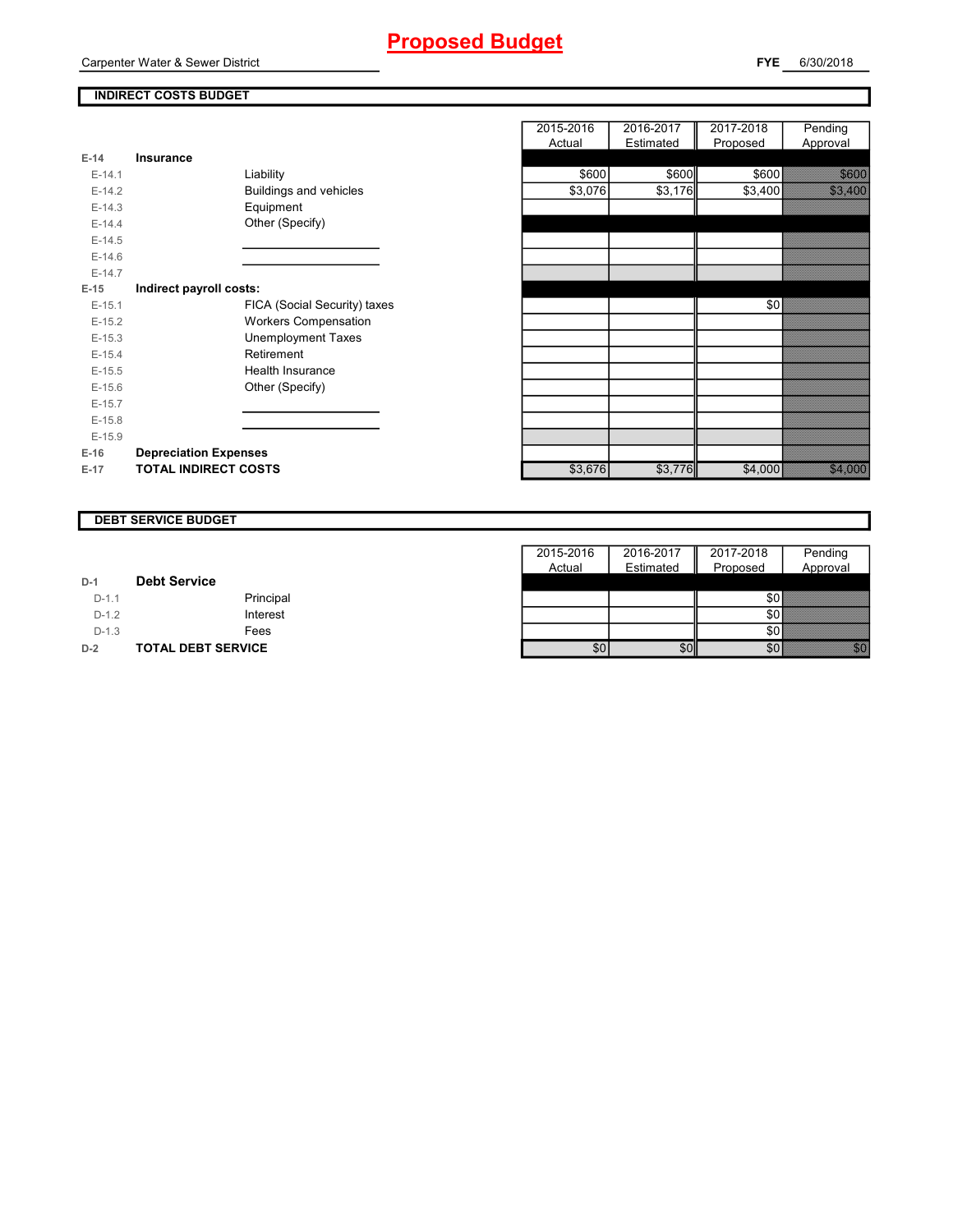## **Proposed Budget**

## **INDIRECT COSTS BUDGET**

|          |                              |                              | Actual  | Estimated | Proposed | Approval |
|----------|------------------------------|------------------------------|---------|-----------|----------|----------|
| $E-14$   | Insurance                    |                              |         |           |          |          |
| $E-14.1$ |                              | Liability                    | \$600   | \$600     | \$600    | 33.      |
| $E-14.2$ |                              | Buildings and vehicles       | \$3,076 | \$3,176   | \$3,400  |          |
| $E-14.3$ |                              | Equipment                    |         |           |          |          |
| $E-14.4$ |                              | Other (Specify)              |         |           |          |          |
| $E-14.5$ |                              |                              |         |           |          |          |
| $E-14.6$ |                              |                              |         |           |          |          |
| $E-14.7$ |                              |                              |         |           |          |          |
| $E-15$   | Indirect payroll costs:      |                              |         |           |          |          |
| $E-15.1$ |                              | FICA (Social Security) taxes |         |           | \$0      |          |
| $E-15.2$ |                              | <b>Workers Compensation</b>  |         |           |          |          |
| $E-15.3$ |                              | <b>Unemployment Taxes</b>    |         |           |          |          |
| $E-15.4$ |                              | Retirement                   |         |           |          |          |
| $E-15.5$ |                              | Health Insurance             |         |           |          |          |
| $E-15.6$ |                              | Other (Specify)              |         |           |          |          |
| $E-15.7$ |                              |                              |         |           |          |          |
| $E-15.8$ |                              |                              |         |           |          |          |
| $E-15.9$ |                              |                              |         |           |          |          |
| $E-16$   | <b>Depreciation Expenses</b> |                              |         |           |          |          |
| $E-17$   | <b>TOTAL INDIRECT COSTS</b>  |                              | \$3,676 | \$3,776   | \$4,000  | 3.       |
|          |                              |                              |         |           |          |          |

| 2015-2016 | 2016-2017 | 2017-2018       | Pending               |
|-----------|-----------|-----------------|-----------------------|
| Actual    | Estimated | Proposed        | Approval              |
|           |           |                 |                       |
| \$600     | \$600     | \$600           |                       |
| \$3,076   | \$3,176   | $\sqrt{$3,400}$ | <b>Santa Cardinal</b> |
|           |           |                 |                       |
|           |           |                 |                       |
|           |           |                 |                       |
|           |           |                 |                       |
|           |           |                 |                       |
|           |           |                 |                       |
|           |           |                 |                       |
|           |           | \$0             |                       |
|           |           |                 |                       |
|           |           |                 |                       |
|           |           |                 |                       |
|           |           |                 |                       |
|           |           |                 |                       |
|           |           |                 |                       |
|           |           |                 |                       |
|           |           |                 |                       |
|           |           |                 |                       |
|           |           |                 |                       |
|           |           |                 |                       |
| \$3,676   | \$3,776   | \$4,000         | 34.633                |

### **DEBT SERVICE BUDGET**

|         |                           | 2015-2016 | 2016-2017 | 2017-2018 | Pending                                                                                                                                                                                                                         |
|---------|---------------------------|-----------|-----------|-----------|---------------------------------------------------------------------------------------------------------------------------------------------------------------------------------------------------------------------------------|
|         |                           | Actual    | Estimated | Proposed  | Approval                                                                                                                                                                                                                        |
| $D-1$   | <b>Debt Service</b>       |           |           |           |                                                                                                                                                                                                                                 |
| $D-1.1$ | Principal                 |           |           | \$0       |                                                                                                                                                                                                                                 |
| $D-1.2$ | Interest                  |           |           | \$0       |                                                                                                                                                                                                                                 |
| $D-1.3$ | Fees                      |           |           | \$0       |                                                                                                                                                                                                                                 |
| $D-2$   | <b>TOTAL DEBT SERVICE</b> | \$01      | \$0       | \$0       | en de la familie de la familie de la familie de la familie de la familie de la familie de la familie de la fa<br>La familie de la familie de la familie de la familie de la familie de la familie de la familie de la familie d |